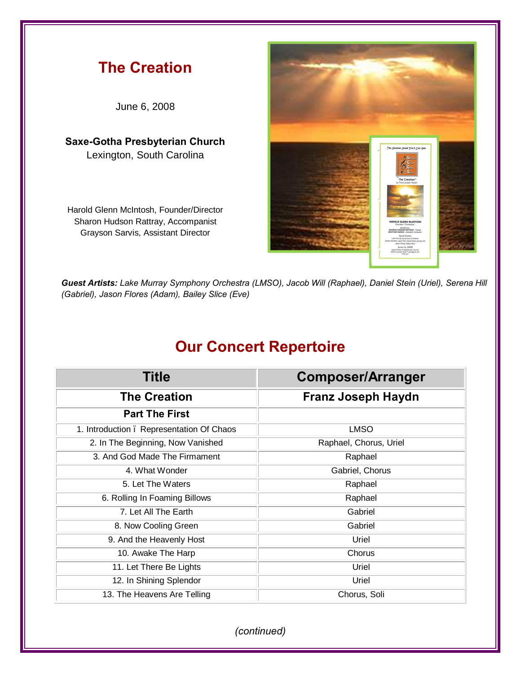

*Guest Artists: Lake Murray Symphony Orchestra (LMSO), Jacob Will (Raphael), Daniel Stein (Uriel), Serena Hill (Gabriel), Jason Flores (Adam), Bailey Slice (Eve)*

## **Our Concert Repertoire**

| <b>Title</b>                              | <b>Composer/Arranger</b>  |
|-------------------------------------------|---------------------------|
| <b>The Creation</b>                       | <b>Franz Joseph Haydn</b> |
| <b>Part The First</b>                     |                           |
| 1. Introduction . Representation Of Chaos | <b>LMSO</b>               |
| 2. In The Beginning, Now Vanished         | Raphael, Chorus, Uriel    |
| 3. And God Made The Firmament             | Raphael                   |
| 4. What Wonder                            | Gabriel, Chorus           |
| 5. Let The Waters                         | Raphael                   |
| 6. Rolling In Foaming Billows             | Raphael                   |
| 7. Let All The Earth                      | Gabriel                   |
| 8. Now Cooling Green                      | Gabriel                   |
| 9. And the Heavenly Host                  | Uriel                     |
| 10. Awake The Harp                        | Chorus                    |
| 11. Let There Be Lights                   | Uriel                     |
| 12. In Shining Splendor                   | Uriel                     |
| 13. The Heavens Are Telling               | Chorus, Soli              |

*(continued)*